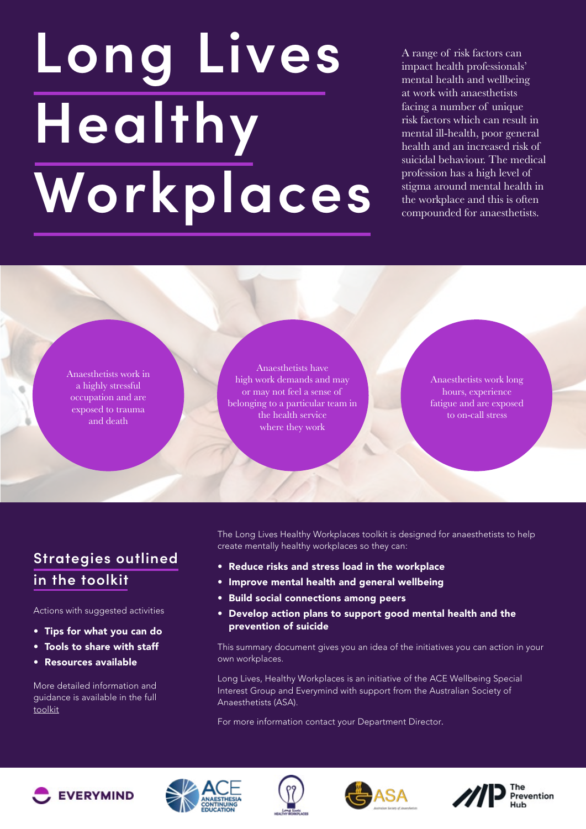# **Long Lives Healthy Workplaces**

A range of risk factors can impact health professionals' mental health and wellbeing at work with anaesthetists facing a number of unique risk factors which can result in mental ill-health, poor general health and an increased risk of suicidal behaviour. The medical profession has a high level of stigma around mental health in the workplace and this is often compounded for anaesthetists.

Anaesthetists work in a highly stressful occupation and are exposed to trauma and death

Anaesthetists have high work demands and may or may not feel a sense of belonging to a particular team in the health service where they work

Anaesthetists work long hours, experience fatigue and are exposed to on-call stress

# **Strategies outlined in the toolkit**

Actions with suggested activities

- Tips for what you can do
- Tools to share with staff
- Resources available

More detailed information and guidance is available in the full [toolkit](https://indd.adobe.com/view/196e3547-71cd-4074-b535-f0059e7d2067)

The Long Lives Healthy Workplaces toolkit is designed for anaesthetists to help create mentally healthy workplaces so they can:

- Reduce risks and stress load in the workplace
- Improve mental health and general wellbeing
- Build social connections among peers
- Develop action plans to support good mental health and the prevention of suicide

This summary document gives you an idea of the initiatives you can action in your own workplaces.

Long Lives, Healthy Workplaces is an initiative of the ACE Wellbeing Special Interest Group and Everymind with support from the Australian Society of Anaesthetists (ASA).

For more information contact your Department Director.









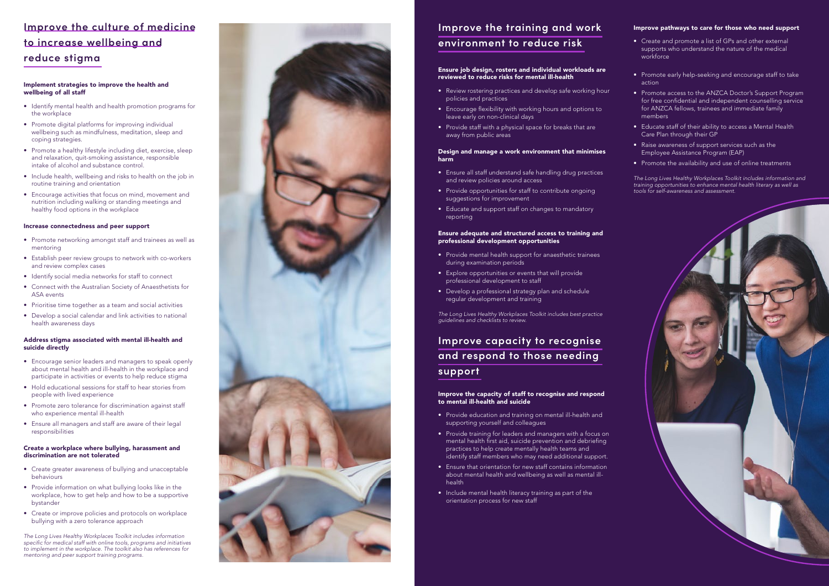# **Improve the culture of medicine to increase wellbeing an d reduce stigma**

# **Improve the training and work environment to reduce risk**

# **Improve capacity to recognise and respond to those needing support**

# Implement strategies to improve the health and wellbeing of all staff

- Identify mental health and health promotion programs for the workplace
- Promote digital platforms for improving individual wellbeing such as mindfulness, meditation, sleep and coping strategies.
- Promote a healthy lifestyle including diet, exercise, sleep and relaxation, quit-smoking assistance, responsible intake of alcohol and substance control.
- Include health, wellbeing and risks to health on the job in routine training and orientation
- Encourage activities that focus on mind, movement and nutrition including walking or standing meetings and healthy food options in the workplace

## Increase connectedness and peer support

- Promote networking amongst staff and trainees as well as mentoring
- Establish peer review groups to network with co-workers and review complex cases
- Identify social media networks for staff to connect
- Connect with the Australian Society of Anaesthetists for ASA events
- Prioritise time together as a team and social activities
- Develop a social calendar and link activities to national health awareness days

# Address stigma associated with mental ill-health and suicide directly

- Encourage senior leaders and managers to speak openly about mental health and ill-health in the workplace and participate in activities or events to help reduce stigma
- Hold educational sessions for staff to hear stories from people with lived experience
- Promote zero tolerance for discrimination against staff who experience mental ill-health
- Ensure all managers and staff are aware of their legal responsibilities

#### Create a workplace where bullying, harassment and discrimination are not tolerated

- Create greater awareness of bullying and unacceptable behaviours
- Provide information on what bullying looks like in the workplace, how to get help and how to be a supportive bystander
- Create or improve policies and protocols on workplace bullying with a zero tolerance approach

*The Long Lives Healthy Workplaces Toolkit includes information*  specific for medical staff with online tools, programs and initiatives to implement in the workplace. The toolkit also has references for mentoring and peer support training programs.



#### Ensure job design, rosters and individual workloads are reviewed to reduce risks for mental ill-health

- Review rostering practices and develop safe working hour policies and practices
- Encourage flexibility with working hours and options to leave early on non-clinical days
- Provide staff with a physical space for breaks that are away from public areas

#### Design and manage a work environment that minimises harm

- Ensure all staff understand safe handling drug practices and review policies around access
- Provide opportunities for staff to contribute ongoing suggestions for improvement
- Educate and support staff on changes to mandatory reporting

#### Ensure adequate and structured access to training and professional development opportunities

- Provide mental health support for anaesthetic trainees during examination periods
- Explore opportunities or events that will provide professional development to staff
- Develop a professional strategy plan and schedule regular development and training

*The Long Lives Healthy Workplaces Toolkit includes best practice*  guidelines and checklists to review.

## Improve the capacity of staff to recognise and respond to mental ill-health and suicide

- Provide education and training on mental ill-health and supporting yourself and colleagues
- Provide training for leaders and managers with a focus on mental health first aid, suicide prevention and debriefing practices to help create mentally health teams and identify staff members who may need additional support.
- Ensure that orientation for new staff contains information about mental health and wellbeing as well as mental illhealth
- Include mental health literacy training as part of the orientation process for new staff

#### Improve pathways to care for those who need support

- Create and promote a list of GPs and other external supports who understand the nature of the medical workforce
- Promote early help-seeking and encourage staff to take action
- Promote access to the ANZCA Doctor's Support Program for free confidential and independent counselling service for ANZCA fellows, trainees and immediate family members
- Educate staff of their ability to access a Mental Health Care Plan through their GP
- Raise awareness of support services such as the Employee Assistance Program (EAP)
- Promote the availability and use of online treatments

*The Long Lives Healthy Workplaces Toolkit includes information and*  training opportunities to enhance mental health literary as well as tools for self-awareness and assessment.